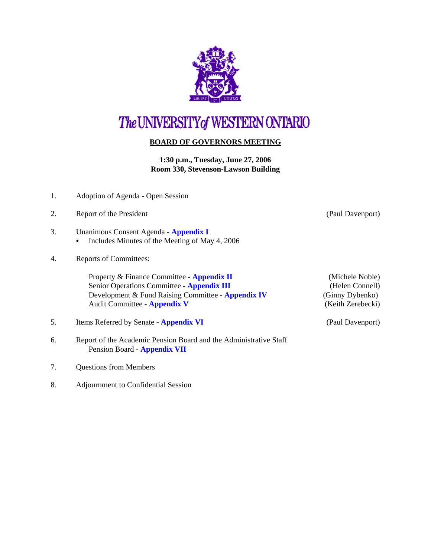

## The UNIVERSITY of WESTERN ONTARIO

## **BOARD OF GOVERNORS MEETING**

**1:30 p.m., Tuesday, June 27, 2006 Room 330, Stevenson-Lawson Building**

- 1. Adoption of Agenda Open Session
- 2. Report of the President (Paul Davenport)
- 3. Unanimous Consent Agenda **[Appendix I](http://www.uwo.ca/univsec/board/minutes/2006/r0606consent.pdf)**   $\bullet$  Includes Minutes of the Meeting of May 4, 2006
- 4. Reports of Committees:

Property & Finance Committee - **[Appendix II](http://www.uwo.ca/univsec/board/minutes/2006/r0606pf.pdf)** (Michele Noble) Senior Operations Committee - **[Appendix III](http://www.uwo.ca/univsec/board/minutes/2006/r0606srops.pdf)** (Helen Connell) Development & Fund Raising Committee - **[Appendix IV](http://www.uwo.ca/univsec/board/minutes/2006/r0606dfr.pdf)** (Ginny Dybenko) Audit Committee - **[Appendix V](http://www.uwo.ca/univsec/board/minutes/2006/r0606aud.pdf)** (Keith Zerebecki)

- 5. Items Referred by Senate **[Appendix VI](http://www.uwo.ca/univsec/board/minutes/2006/r0606sen.pdf)** (Paul Davenport)
- 6. Report of the Academic Pension Board and the Administrative Staff Pension Board - **[Appendix VII](http://www.uwo.ca/univsec/board/minutes/2006/r0606pension.pdf)**
- 7. Questions from Members
- 8. Adjournment to Confidential Session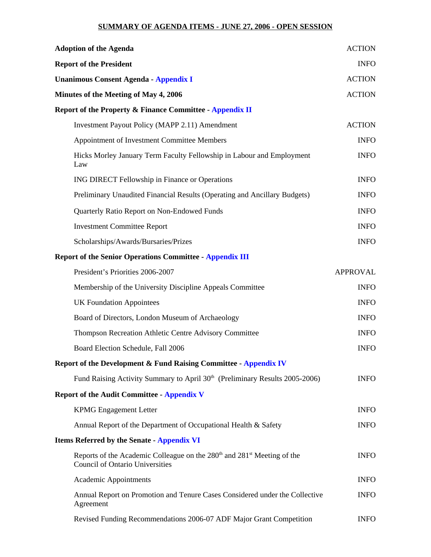## **SUMMARY OF AGENDA ITEMS - JUNE 27, 2006 - OPEN SESSION**

| <b>Adoption of the Agenda</b>                |                                                                                                                                           | <b>ACTION</b><br><b>INFO</b><br><b>ACTION</b> |
|----------------------------------------------|-------------------------------------------------------------------------------------------------------------------------------------------|-----------------------------------------------|
| <b>Report of the President</b>               |                                                                                                                                           |                                               |
| <b>Unanimous Consent Agenda - Appendix I</b> |                                                                                                                                           |                                               |
| Minutes of the Meeting of May 4, 2006        |                                                                                                                                           | <b>ACTION</b>                                 |
|                                              | <b>Report of the Property &amp; Finance Committee - Appendix II</b>                                                                       |                                               |
|                                              | Investment Payout Policy (MAPP 2.11) Amendment                                                                                            | <b>ACTION</b>                                 |
|                                              | Appointment of Investment Committee Members                                                                                               | <b>INFO</b>                                   |
|                                              | Hicks Morley January Term Faculty Fellowship in Labour and Employment<br>Law                                                              | <b>INFO</b>                                   |
|                                              | ING DIRECT Fellowship in Finance or Operations                                                                                            | <b>INFO</b>                                   |
|                                              | Preliminary Unaudited Financial Results (Operating and Ancillary Budgets)                                                                 | <b>INFO</b>                                   |
|                                              | Quarterly Ratio Report on Non-Endowed Funds                                                                                               | <b>INFO</b>                                   |
|                                              | <b>Investment Committee Report</b>                                                                                                        | <b>INFO</b>                                   |
|                                              | Scholarships/Awards/Bursaries/Prizes                                                                                                      | <b>INFO</b>                                   |
|                                              | <b>Report of the Senior Operations Committee - Appendix III</b>                                                                           |                                               |
|                                              | President's Priorities 2006-2007                                                                                                          | <b>APPROVAL</b>                               |
|                                              | Membership of the University Discipline Appeals Committee                                                                                 | <b>INFO</b>                                   |
|                                              | <b>UK Foundation Appointees</b>                                                                                                           | <b>INFO</b>                                   |
|                                              | Board of Directors, London Museum of Archaeology                                                                                          | <b>INFO</b>                                   |
|                                              | Thompson Recreation Athletic Centre Advisory Committee                                                                                    | <b>INFO</b>                                   |
|                                              | Board Election Schedule, Fall 2006                                                                                                        | <b>INFO</b>                                   |
|                                              | Report of the Development & Fund Raising Committee - Appendix IV                                                                          |                                               |
|                                              | Fund Raising Activity Summary to April 30 <sup>th</sup> (Preliminary Results 2005-2006)                                                   | <b>INFO</b>                                   |
|                                              | <b>Report of the Audit Committee - Appendix V</b>                                                                                         |                                               |
|                                              | <b>KPMG</b> Engagement Letter                                                                                                             | <b>INFO</b>                                   |
|                                              | Annual Report of the Department of Occupational Health & Safety                                                                           | <b>INFO</b>                                   |
|                                              | <b>Items Referred by the Senate - Appendix VI</b>                                                                                         |                                               |
|                                              | Reports of the Academic Colleague on the 280 <sup>th</sup> and 281 <sup>st</sup> Meeting of the<br><b>Council of Ontario Universities</b> | <b>INFO</b>                                   |
|                                              | Academic Appointments                                                                                                                     | <b>INFO</b>                                   |
|                                              | Annual Report on Promotion and Tenure Cases Considered under the Collective<br>Agreement                                                  | <b>INFO</b>                                   |
|                                              | Revised Funding Recommendations 2006-07 ADF Major Grant Competition                                                                       | <b>INFO</b>                                   |